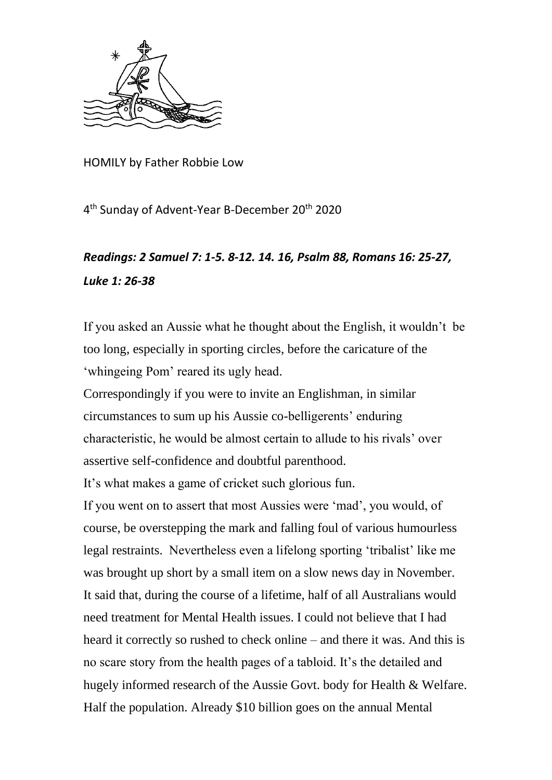

HOMILY by Father Robbie Low

4<sup>th</sup> Sunday of Advent-Year B-December 20<sup>th</sup> 2020

## *Readings: 2 Samuel 7: 1-5. 8-12. 14. 16, Psalm 88, Romans 16: 25-27, Luke 1: 26-38*

If you asked an Aussie what he thought about the English, it wouldn't be too long, especially in sporting circles, before the caricature of the 'whingeing Pom' reared its ugly head.

Correspondingly if you were to invite an Englishman, in similar circumstances to sum up his Aussie co-belligerents' enduring characteristic, he would be almost certain to allude to his rivals' over assertive self-confidence and doubtful parenthood.

It's what makes a game of cricket such glorious fun.

If you went on to assert that most Aussies were 'mad', you would, of course, be overstepping the mark and falling foul of various humourless legal restraints. Nevertheless even a lifelong sporting 'tribalist' like me was brought up short by a small item on a slow news day in November. It said that, during the course of a lifetime, half of all Australians would need treatment for Mental Health issues. I could not believe that I had heard it correctly so rushed to check online – and there it was. And this is no scare story from the health pages of a tabloid. It's the detailed and hugely informed research of the Aussie Govt. body for Health & Welfare. Half the population. Already \$10 billion goes on the annual Mental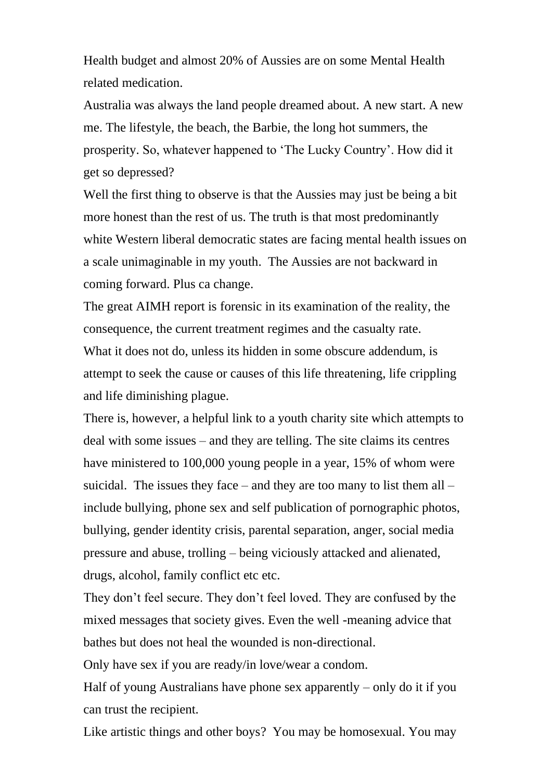Health budget and almost 20% of Aussies are on some Mental Health related medication.

Australia was always the land people dreamed about. A new start. A new me. The lifestyle, the beach, the Barbie, the long hot summers, the prosperity. So, whatever happened to 'The Lucky Country'. How did it get so depressed?

Well the first thing to observe is that the Aussies may just be being a bit more honest than the rest of us. The truth is that most predominantly white Western liberal democratic states are facing mental health issues on a scale unimaginable in my youth. The Aussies are not backward in coming forward. Plus ca change.

The great AIMH report is forensic in its examination of the reality, the consequence, the current treatment regimes and the casualty rate. What it does not do, unless its hidden in some obscure addendum, is attempt to seek the cause or causes of this life threatening, life crippling and life diminishing plague.

There is, however, a helpful link to a youth charity site which attempts to deal with some issues – and they are telling. The site claims its centres have ministered to 100,000 young people in a year, 15% of whom were suicidal. The issues they face – and they are too many to list them all – include bullying, phone sex and self publication of pornographic photos, bullying, gender identity crisis, parental separation, anger, social media pressure and abuse, trolling – being viciously attacked and alienated, drugs, alcohol, family conflict etc etc.

They don't feel secure. They don't feel loved. They are confused by the mixed messages that society gives. Even the well -meaning advice that bathes but does not heal the wounded is non-directional.

Only have sex if you are ready/in love/wear a condom.

Half of young Australians have phone sex apparently – only do it if you can trust the recipient.

Like artistic things and other boys? You may be homosexual. You may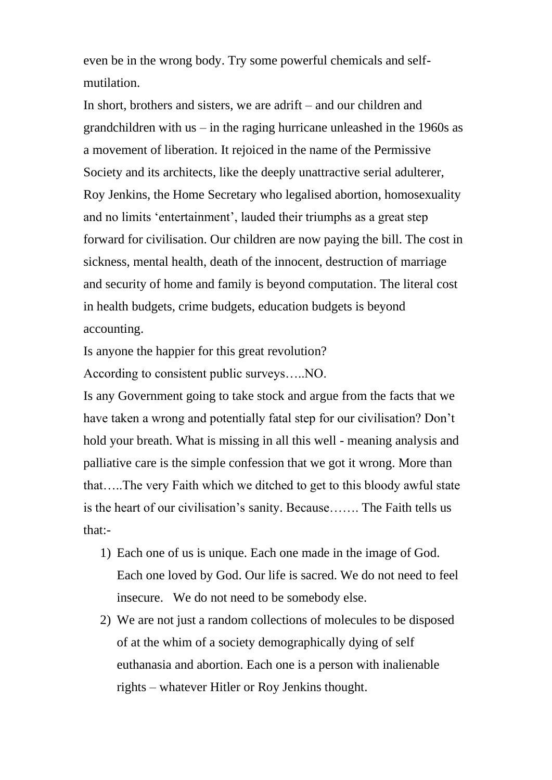even be in the wrong body. Try some powerful chemicals and selfmutilation.

In short, brothers and sisters, we are adrift – and our children and grandchildren with us  $-$  in the raging hurricane unleashed in the 1960s as a movement of liberation. It rejoiced in the name of the Permissive Society and its architects, like the deeply unattractive serial adulterer, Roy Jenkins, the Home Secretary who legalised abortion, homosexuality and no limits 'entertainment', lauded their triumphs as a great step forward for civilisation. Our children are now paying the bill. The cost in sickness, mental health, death of the innocent, destruction of marriage and security of home and family is beyond computation. The literal cost in health budgets, crime budgets, education budgets is beyond accounting.

Is anyone the happier for this great revolution?

According to consistent public surveys…..NO.

Is any Government going to take stock and argue from the facts that we have taken a wrong and potentially fatal step for our civilisation? Don't hold your breath. What is missing in all this well - meaning analysis and palliative care is the simple confession that we got it wrong. More than that…..The very Faith which we ditched to get to this bloody awful state is the heart of our civilisation's sanity. Because……. The Faith tells us that:-

- 1) Each one of us is unique. Each one made in the image of God. Each one loved by God. Our life is sacred. We do not need to feel insecure. We do not need to be somebody else.
- 2) We are not just a random collections of molecules to be disposed of at the whim of a society demographically dying of self euthanasia and abortion. Each one is a person with inalienable rights – whatever Hitler or Roy Jenkins thought.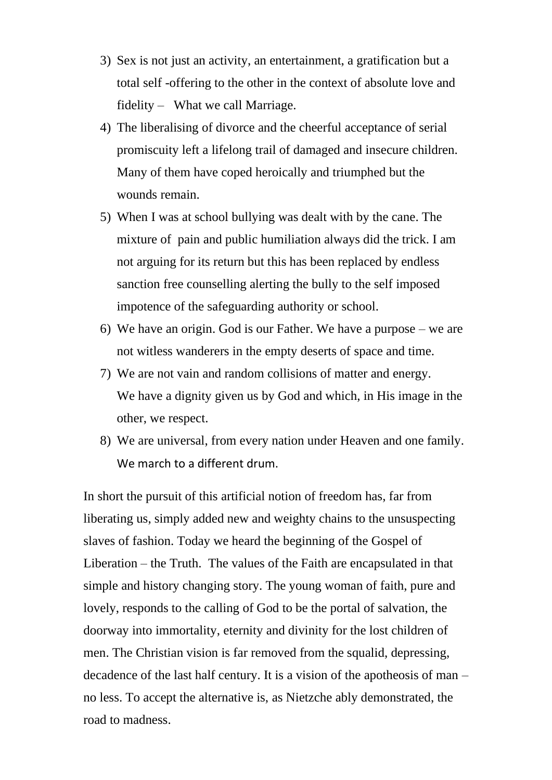- 3) Sex is not just an activity, an entertainment, a gratification but a total self -offering to the other in the context of absolute love and fidelity – What we call Marriage.
- 4) The liberalising of divorce and the cheerful acceptance of serial promiscuity left a lifelong trail of damaged and insecure children. Many of them have coped heroically and triumphed but the wounds remain.
- 5) When I was at school bullying was dealt with by the cane. The mixture of pain and public humiliation always did the trick. I am not arguing for its return but this has been replaced by endless sanction free counselling alerting the bully to the self imposed impotence of the safeguarding authority or school.
- 6) We have an origin. God is our Father. We have a purpose we are not witless wanderers in the empty deserts of space and time.
- 7) We are not vain and random collisions of matter and energy. We have a dignity given us by God and which, in His image in the other, we respect.
- 8) We are universal, from every nation under Heaven and one family. We march to a different drum.

In short the pursuit of this artificial notion of freedom has, far from liberating us, simply added new and weighty chains to the unsuspecting slaves of fashion. Today we heard the beginning of the Gospel of Liberation – the Truth. The values of the Faith are encapsulated in that simple and history changing story. The young woman of faith, pure and lovely, responds to the calling of God to be the portal of salvation, the doorway into immortality, eternity and divinity for the lost children of men. The Christian vision is far removed from the squalid, depressing, decadence of the last half century. It is a vision of the apotheosis of man – no less. To accept the alternative is, as Nietzche ably demonstrated, the road to madness.